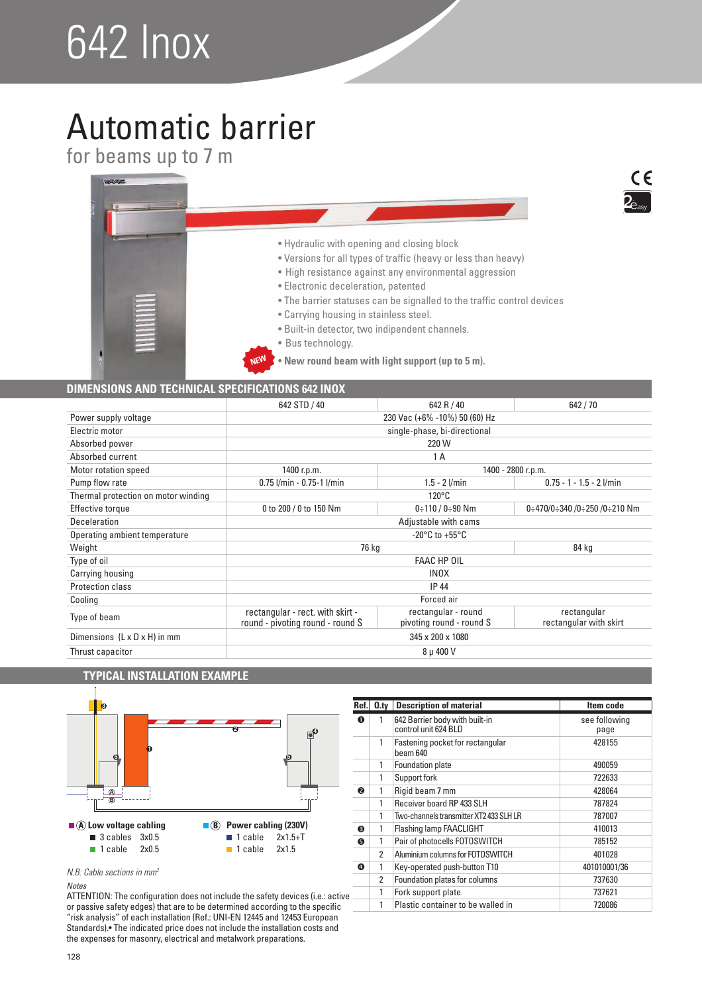# 642 Inox

## Automatic barrier

for beams up to 7 m



### **DIMENSIONS AND TECHNICAL SPECIFICATIONS 642 INOX**

|                                          | 642 STD / 40                                                              | 642 R / 40                                      | 642/70                                |  |
|------------------------------------------|---------------------------------------------------------------------------|-------------------------------------------------|---------------------------------------|--|
| Power supply voltage                     | 230 Vac (+6% -10%) 50 (60) Hz                                             |                                                 |                                       |  |
| Electric motor                           |                                                                           | single-phase, bi-directional                    |                                       |  |
| Absorbed power                           |                                                                           | 220 W                                           |                                       |  |
| Absorbed current                         |                                                                           | 1 A                                             |                                       |  |
| Motor rotation speed                     | 1400 r.p.m.                                                               | 1400 - 2800 r.p.m.                              |                                       |  |
| Pump flow rate                           | $0.75$ $l/min - 0.75 - 1$ $l/min$                                         | $1.5 - 2$ l/min                                 | $0.75 - 1 - 1.5 - 2$ l/min            |  |
| Thermal protection on motor winding      | $120^{\circ}$ C                                                           |                                                 |                                       |  |
| <b>Effective torque</b>                  | 0 to 200 / 0 to 150 Nm<br>0:470/0:340 /0:250 /0:210 Nm<br>$0:110/0:90$ Nm |                                                 |                                       |  |
| Deceleration                             | Adjustable with cams                                                      |                                                 |                                       |  |
| Operating ambient temperature            | -20 $^{\circ}$ C to +55 $^{\circ}$ C                                      |                                                 |                                       |  |
| Weight                                   | 76 kg<br>84 kg                                                            |                                                 |                                       |  |
| Type of oil                              | <b>FAAC HP OIL</b>                                                        |                                                 |                                       |  |
| Carrying housing                         | <b>INOX</b>                                                               |                                                 |                                       |  |
| <b>Protection class</b>                  | <b>IP 44</b>                                                              |                                                 |                                       |  |
| Cooling                                  | Forced air                                                                |                                                 |                                       |  |
| Type of beam                             | rectangular - rect. with skirt -<br>round - pivoting round - round S      | rectangular - round<br>pivoting round - round S | rectangular<br>rectangular with skirt |  |
| Dimensions $(L \times D \times H)$ in mm | 345 x 200 x 1080                                                          |                                                 |                                       |  |
| Thrust capacitor                         | 8 µ 400 V                                                                 |                                                 |                                       |  |

### **TYPICAL INSTALLATION EXAMPLE**



| Ref. | $Q_{\text{.}ty}$ | <b>Description of material</b>                         | Item code             |
|------|------------------|--------------------------------------------------------|-----------------------|
| O    |                  | 642 Barrier body with built-in<br>control unit 624 BLD | see following<br>page |
|      | 1                | Fastening pocket for rectangular<br>beam 640           | 428155                |
|      | 1                | Foundation plate                                       | 490059                |
|      | 1                | Support fork                                           | 722633                |
| ❷    | 1                | Rigid beam 7 mm                                        | 428064                |
|      | 1                | Receiver board RP 433 SLH                              | 787824                |
|      | 1                | Two-channels transmitter XT2 433 SLH LR                | 787007                |
| ❸    | 1                | Flashing lamp FAACLIGHT                                | 410013                |
| ❺    | 1                | Pair of photocells FOTOSWITCH                          | 785152                |
|      | 2                | Aluminium columns for FOTOSWITCH                       | 401028                |
| ❹    | 1                | Key-operated push-button T10                           | 401010001/36          |
|      | 2                | Foundation plates for columns                          | 737630                |
|      | 1                | Fork support plate                                     | 737621                |
|      | 1                | Plastic container to be walled in                      | 720086                |

*N.B: Cable sections in mm<sup>2</sup>*

### Notes

ATTENTION: The configuration does not include the safety devices (i.e.: active or passive safety edges) that are to be determined according to the specific "risk analysis" of each installation (Ref.: UNI-EN 12445 and 12453 European Standards).• The indicated price does not include the installation costs and the expenses for masonry, electrical and metalwork preparations.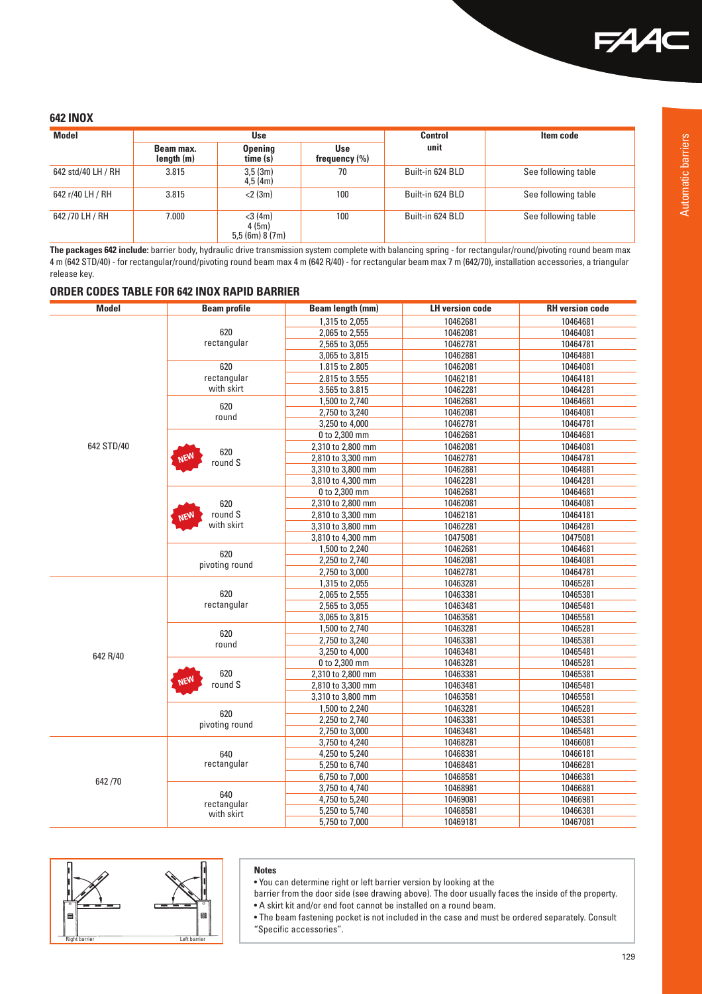### **642 INOX**

| <b>Model</b>       | Use                     |                                          | Control                         | Item code        |                     |
|--------------------|-------------------------|------------------------------------------|---------------------------------|------------------|---------------------|
|                    | Beam max.<br>length (m) | <b>Opening</b><br>time (s)               | <b>Use</b><br>frequency $(\% )$ | unit             |                     |
| 642 std/40 LH / RH | 3.815                   | 3,5(3m)<br>4.5(4m)                       | 70                              | Built-in 624 BLD | See following table |
| 642 r/40 LH / RH   | 3.815                   | $<$ 2 (3m)                               | 100                             | Built-in 624 BLD | See following table |
| 642/70 LH / RH     | 7.000                   | $<$ 3 (4m)<br>4(5m)<br>$5.5$ (6m) 8 (7m) | 100                             | Built-in 624 BLD | See following table |

The packages 642 include: barrier body, hydraulic drive transmission system complete with balancing spring - for rectangular/round/pivoting round beam max 4 m (642 STD/40) - for rectangular/round/pivoting round beam max 4 m (642 R/40) - for rectangular beam max 7 m (642/70), installation accessories, a triangular release key.

### **ORDER CODES TABLE FOR 642 INOX RAPID BARRIER**

| <b>Model</b> | <b>Beam profile</b>                            | Beam length (mm)  | <b>LH version code</b> | <b>RH</b> version code |
|--------------|------------------------------------------------|-------------------|------------------------|------------------------|
|              |                                                | 1,315 to 2,055    | 10462681               | 10464681               |
|              | 620                                            | 2,065 to 2,555    | 10462081               | 10464081               |
|              | rectangular                                    |                   |                        |                        |
|              |                                                | 2,565 to 3,055    | 10462781               | 10464781               |
|              |                                                | 3,065 to 3,815    | 10462881               | 10464881               |
|              | 620                                            | 1.815 to 2.805    | 10462081               | 10464081               |
|              | rectangular                                    | 2.815 to 3.555    | 10462181               | 10464181               |
|              | with skirt                                     | 3.565 to 3.815    | 10462281               | 10464281               |
|              | 620                                            | 1,500 to 2,740    | 10462681               | 10464681               |
|              | round                                          | 2,750 to 3,240    | 10462081               | 10464081               |
|              |                                                | 3,250 to 4,000    | 10462781               | 10464781               |
|              |                                                | 0 to 2,300 mm     | 10462681               | 10464681               |
| 642 STD/40   | 620                                            | 2,310 to 2,800 mm | 10462081               | 10464081               |
|              | <b>NEW</b><br>round S                          | 2,810 to 3,300 mm | 10462781               | 10464781               |
|              |                                                | 3,310 to 3,800 mm | 10462881               | 10464881               |
|              |                                                | 3,810 to 4,300 mm | 10462281               | 10464281               |
|              |                                                | 0 to 2,300 mm     | 10462681               | 10464681               |
|              | 620                                            | 2,310 to 2,800 mm | 10462081               | 10464081               |
|              | round S<br><b>NEW</b>                          | 2,810 to 3,300 mm | 10462181               | 10464181               |
|              | with skirt                                     | 3,310 to 3,800 mm | 10462281               | 10464281               |
|              |                                                | 3,810 to 4,300 mm | 10475081               | 10475081               |
|              |                                                | 1,500 to 2,240    | 10462681               | 10464681               |
|              | 620                                            | 2,250 to 2,740    | 10462081               | 10464081               |
|              | pivoting round                                 | 2,750 to 3,000    | 10462781               | 10464781               |
|              |                                                | 1,315 to 2,055    | 10463281               | 10465281               |
|              | 620                                            | 2,065 to 2,555    | 10463381               | 10465381               |
|              | rectangular                                    | 2,565 to 3,055    | 10463481               | 10465481               |
|              |                                                | 3,065 to 3,815    | 10463581               | 10465581               |
|              |                                                | 1,500 to 2,740    | 10463281               | 10465281               |
|              | 620<br>round<br>620<br><b>NEW</b><br>$round S$ | 2,750 to 3,240    | 10463381               | 10465381               |
|              |                                                | 3,250 to 4,000    | 10463481               | 10465481               |
| 642 R/40     |                                                | 0 to 2,300 mm     | 10463281               | 10465281               |
|              |                                                | 2,310 to 2,800 mm | 10463381               | 10465381               |
|              |                                                | 2,810 to 3,300 mm | 10463481               | 10465481               |
|              |                                                | 3,310 to 3,800 mm | 10463581               | 10465581               |
|              |                                                | 1,500 to 2,240    | 10463281               | 10465281               |
|              | 620                                            | 2,250 to 2,740    | 10463381               | 10465381               |
|              | pivoting round                                 |                   |                        |                        |
|              |                                                | 2,750 to 3,000    | 10463481               | 10465481               |
|              |                                                | 3,750 to 4,240    | 10468281               | 10466081               |
|              | 640<br>rectangular                             | 4,250 to 5,240    | 10468381               | 10466181               |
|              |                                                | 5,250 to 6,740    | 10468481               | 10466281               |
| 642/70       |                                                | 6,750 to 7,000    | 10468581               | 10466381               |
|              | 640                                            | 3,750 to 4,740    | 10468981               | 10466881               |
|              | rectangular                                    | 4,750 to 5,240    | 10469081               | 10466981               |
|              | with skirt                                     | 5,250 to 5,740    | 10468581               | 10466381               |
|              |                                                | 5,750 to 7,000    | 10469181               | 10467081               |



### **Notes**

• You can determine right or left barrier version by looking at the

barrier from the door side (see drawing above). The door usually faces the inside of the property. • A skirt kit and/or end foot cannot be installed on a round beam.

• The beam fastening pocket is not included in the case and must be ordered separately. Consult "Specific accessories".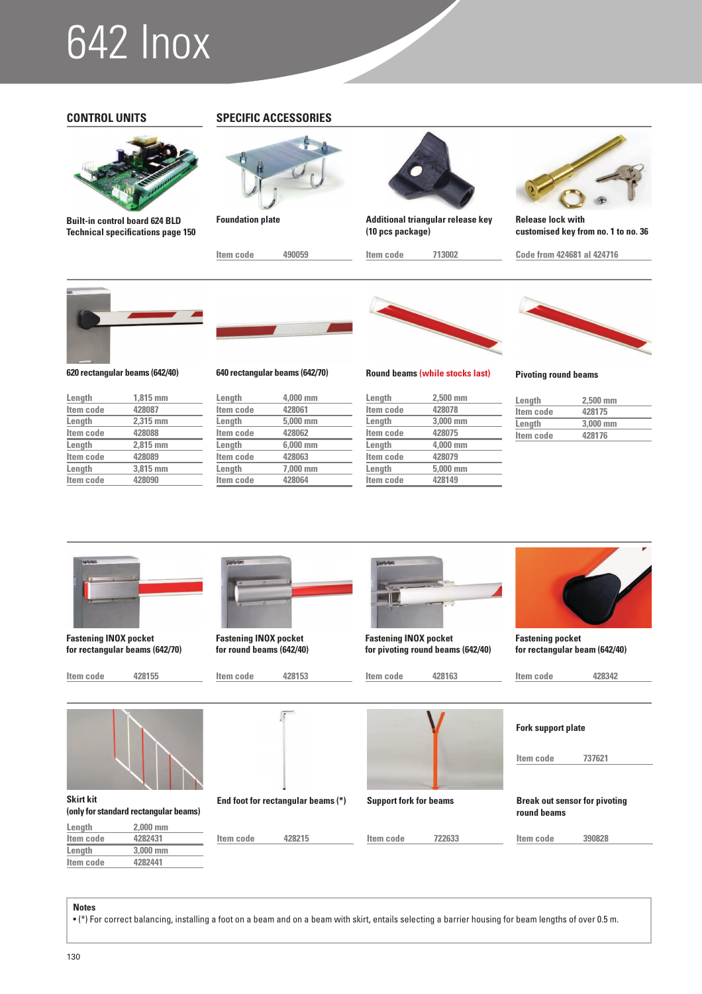## 642 Inox



**Built-in control board 624 BLD Technical specifications page 150**

### **CONTROL UNITS SPECIFIC ACCESSORIES**



**Foundation plate**

**Item code 490059**



**Additional triangular release key (10 pcs package)**

**Item code 713002**



**Release lock with customised key from no. 1 to no. 36**

**Code from 424681 al 424716**



**620 rectangular beams (642/40) 640 rectangular beams (642/70)**

| Length    | $1.815$ mm |
|-----------|------------|
| Item code | 428087     |
| Length    | 2.315 mm   |
| Item code | 428088     |
| Length    | 2.815 mm   |
| Item code | 428089     |
| Length    | 3.815 mm   |
| Item code | 428090     |



| Length    | 4.000 mm |
|-----------|----------|
| Item code | 428061   |
| Length    | 5.000 mm |
| Item code | 428062   |
| Length    | 6.000 mm |
| Item code | 428063   |
| Length    | 7.000 mm |
| Item code | 428064   |
|           |          |



**Round beams (while stocks last) Pivoting round beams**

| Length    | $2.500$ mm |
|-----------|------------|
| Item code | 428078     |
| Length    | 3,000 mm   |
| Item code | 428075     |
| Length    | 4.000 mm   |
| Item code | 428079     |
| Length    | 5,000 mm   |
| Item code | 428149     |

| Length    | $2.500$ mm |
|-----------|------------|
| Item code | 428175     |
| Length    | 3.000 mm   |
| Item code | 428176     |



**Fastening INOX pocket for rectangular beams (642/70)**





**(only for standard rectangular beams)**

**Length** 2,000 mm<br>**Item code** 4282431

**Length** 3,000 mm<br>Item code 4282441



**Fastening INOX pocket for round beams (642/40)**

**Item code 428153**

**Item code 428215**



**Fastening INOX pocket for pivoting round beams (642/40)**

**Item code 722633**



**Break out sensor for pivoting round beams**

**Item code 390828**

**Fastening pocket** 

**for rectangular beam (642/40)**

**Notes**

**Item code** 

**Item code** 

 $\bullet$  (\*) For correct balancing, installing a foot on a beam and on a beam with skirt, entails selecting a barrier housing for beam lengths of over 0.5 m.